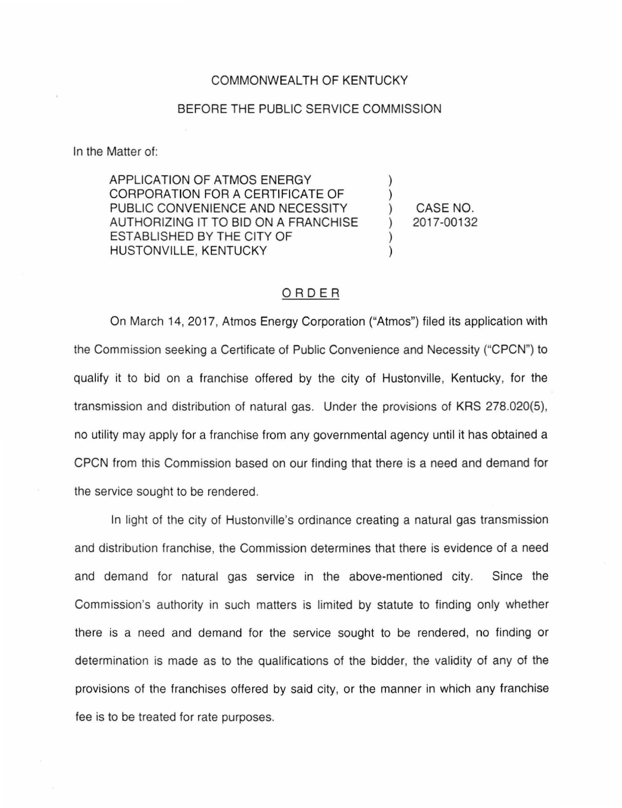## COMMONWEALTH OF KENTUCKY

## BEFORE THE PUBLIC SERVICE COMMISSION

In the Matter of:

APPLICATION OF ATMOS ENERGY CORPORATION FOR A CERTIFICATE OF PUBLIC CONVENIENCE AND NECESSITY AUTHORIZING IT TO BID ON A FRANCHISE ESTABLISHED BY THE CITY OF HUSTONVILLE, KENTUCKY

CASE NO. 2017-00132

## ORDER

On March 14, 2017, Atmos Energy Corporation ("Atmos") filed its application with the Commission seeking a Certificate of Public Convenience and Necessity ("CPCN") to qualify it to bid on a franchise offered by the city of Hustonville, Kentucky, for the transmission and distribution of natural gas. Under the provisions of KRS 278.020(5), no utility may apply for a franchise from any governmental agency until it has obtained a CPCN from this Commission based on our finding that there is a need and demand for the service sought to be rendered.

In light of the city of Hustonville's ordinance creating a natural gas transmission and distribution franchise, the Commission determines that there is evidence of a need and demand for natural gas service in the above-mentioned city. Since the Commission's authority in such matters is limited by statute to finding only whether there is a need and demand for the service sought to be rendered, no finding or determination is made as to the qualifications of the bidder, the validity of any of the provisions of the franchises offered by said city, or the manner in which any franchise fee is to be treated for rate purposes.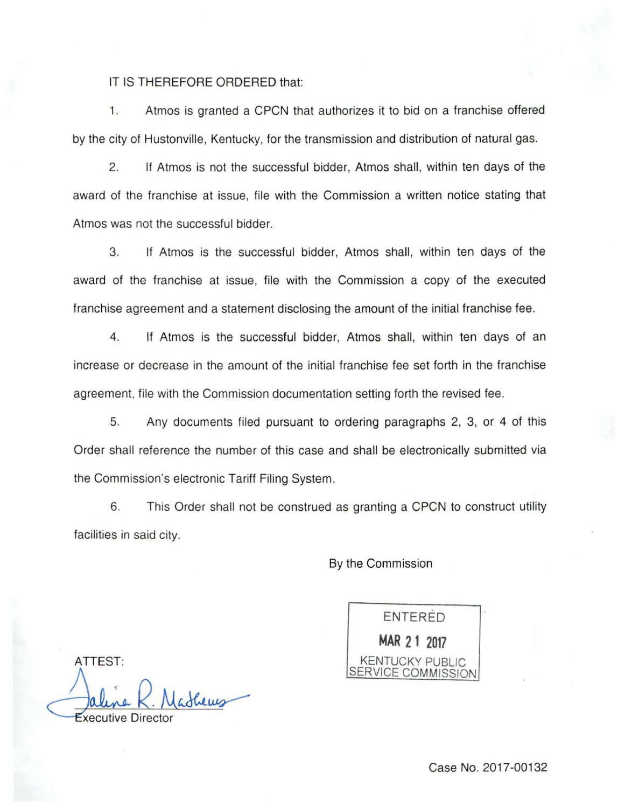## IT IS THEREFORE ORDERED that:

1. Atmos is granted a CPCN that authorizes it to bid on a franchise offered by the city of Hustonville, Kentucky, for the transmission and distribution of natural gas.

2. If Atmos is not the successful bidder, Atmos shall, within ten days of the award of the franchise at issue, file with the Commission a written notice stating that Atmos was not the successful bidder.

3. If Atmos is the successful bidder, Atmos shall, within ten days of the award of the franchise at issue, file with the Commission a copy of the executed franchise agreement and a statement disclosing the amount of the initial franchise fee.

4. If Atmos is the successful bidder, Atmos shall, within ten days of an increase or decrease in the amount of the initial franchise fee set forth in the franchise agreement, file with the Commission documentation setting forth the revised fee.

5. Any documents filed pursuant to ordering paragraphs 2, 3, or 4 of this Order shall reference the number of this case and shall be electronically submitted via the Commission's electronic Tariff Filing System.

6. This Order shall not be construed as granting a CPCN to construct utility facilities in said city.

By the Commission

ENTERED **MAR 2 1 2017**  KENTUCKY PUBLIC **JICE COMMISSION** 

ATTEST:

thems **Executive Directo** 

Case No. 2017-00132